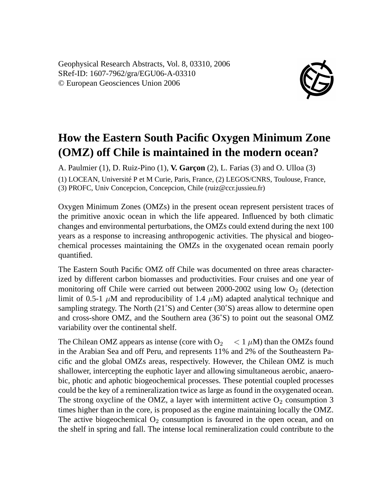Geophysical Research Abstracts, Vol. 8, 03310, 2006 SRef-ID: 1607-7962/gra/EGU06-A-03310 © European Geosciences Union 2006



## **How the Eastern South Pacific Oxygen Minimum Zone (OMZ) off Chile is maintained in the modern ocean?**

A. Paulmier (1), D. Ruiz-Pino (1), **V. Garçon** (2), L. Farias (3) and O. Ulloa (3) (1) LOCEAN, Université P et M Curie, Paris, France, (2) LEGOS/CNRS, Toulouse, France, (3) PROFC, Univ Concepcion, Concepcion, Chile (ruiz@ccr.jussieu.fr)

Oxygen Minimum Zones (OMZs) in the present ocean represent persistent traces of the primitive anoxic ocean in which the life appeared. Influenced by both climatic changes and environmental perturbations, the OMZs could extend during the next 100 years as a response to increasing anthropogenic activities. The physical and biogeochemical processes maintaining the OMZs in the oxygenated ocean remain poorly quantified.

The Eastern South Pacific OMZ off Chile was documented on three areas characterized by different carbon biomasses and productivities. Four cruises and one year of monitoring off Chile were carried out between  $2000-2002$  using low  $O<sub>2</sub>$  (detection limit of 0.5-1  $\mu$ M and reproducibility of 1.4  $\mu$ M) adapted analytical technique and sampling strategy. The North (21˚S) and Center (30˚S) areas allow to determine open and cross-shore OMZ, and the Southern area (36˚S) to point out the seasonal OMZ variability over the continental shelf.

The Chilean OMZ appears as intense (core with  $O_2 \leq 1 \mu M$ ) than the OMZs found in the Arabian Sea and off Peru, and represents 11% and 2% of the Southeastern Pacific and the global OMZs areas, respectively. However, the Chilean OMZ is much shallower, intercepting the euphotic layer and allowing simultaneous aerobic, anaerobic, photic and aphotic biogeochemical processes. These potential coupled processes could be the key of a remineralization twice as large as found in the oxygenated ocean. The strong oxycline of the OMZ, a layer with intermittent active  $O_2$  consumption 3 times higher than in the core, is proposed as the engine maintaining locally the OMZ. The active biogeochemical  $O_2$  consumption is favoured in the open ocean, and on the shelf in spring and fall. The intense local remineralization could contribute to the